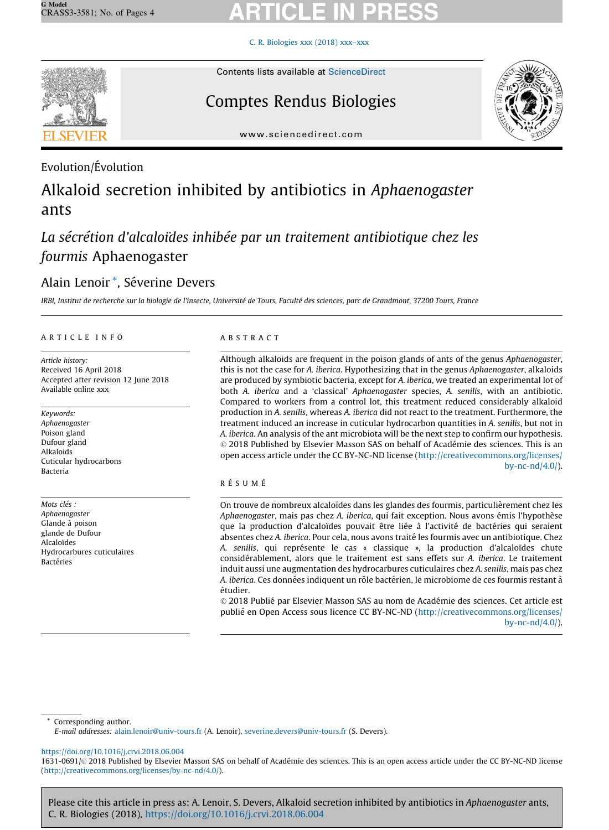# C. R. [Biologies](https://doi.org/10.1016/j.crvi.2018.06.004) xxx (2018) xxx–xxx



# Contents lists available at [ScienceDirect](http://www.sciencedirect.com/science/journal/16310691)

# Comptes Rendus Biologies



www.sciencedirect.com

# Evolution/Évolution

# Alkaloid secretion inhibited by antibiotics in Aphaenogaster ants

# La sécrétion d'alcaloïdes inhibée par un traitement antibiotique chez les fourmis Aphaenogaster

# Alain Lenoir<sup>\*</sup>, Séverine Devers

IRBI, Institut de recherche sur la biologie de l'insecte, Université de Tours, Faculté des sciences, parc de Grandmont, 37200 Tours, France

## A R T I C L E I N F O

Article history: Received 16 April 2018 Accepted after revision 12 June 2018 Available online xxx

Keywords: Aphaenogaster Poison gland Dufour gland Alkaloids Cuticular hydrocarbons Bacteria

Mots clés : Aphaenogaster Glande à poison glande de Dufour **Alcaloïdes** Hydrocarbures cuticulaires **Bactéries** 

# A B S T R A C T

Although alkaloids are frequent in the poison glands of ants of the genus Aphaenogaster, this is not the case for A. iberica. Hypothesizing that in the genus Aphaenogaster, alkaloids are produced by symbiotic bacteria, except for A. iberica, we treated an experimental lot of both A. iberica and a 'classical' Aphaenogaster species, A. senilis, with an antibiotic. Compared to workers from a control lot, this treatment reduced considerably alkaloid production in A. senilis, whereas A. iberica did not react to the treatment. Furthermore, the treatment induced an increase in cuticular hydrocarbon quantities in A. senilis, but not in A. iberica. An analysis of the ant microbiota will be the next step to confirm our hypothesis. © 2018 Published by Elsevier Masson SAS on behalf of Académie des sciences. This is an open access article under the CC BY-NC-ND license ([http://creativecommons.org/licenses/](http://creativecommons.org/licenses/by-nc-nd/4.0/) [by-nc-nd/4.0/\)](http://creativecommons.org/licenses/by-nc-nd/4.0/).

# RÉSUMÉ

On trouve de nombreux alcaloïdes dans les glandes des fourmis, particulièrement chez les Aphaenogaster, mais pas chez A. iberica, qui fait exception. Nous avons émis l'hypothèse que la production d'alcaloïdes pouvait être liée à l'activité de bactéries qui seraient absentes chez A. iberica. Pour cela, nous avons traité les fourmis avec un antibiotique. Chez A. senilis, qui représente le cas « classique », la production d'alcaloïdes chute considérablement, alors que le traitement est sans effets sur A. iberica. Le traitement induit aussi une augmentation des hydrocarbures cuticulaires chez A. senilis, mais pas chez A. iberica. Ces données indiquent un rôle bactérien, le microbiome de ces fourmis restant à étudier.

© 2018 Publié par Elsevier Masson SAS au nom de Académie des sciences. Cet article est publie´ en Open Access sous licence CC BY-NC-ND ([http://creativecommons.org/licenses/](http://creativecommons.org/licenses/by-nc-nd/4.0/) [by-nc-nd/4.0/\)](http://creativecommons.org/licenses/by-nc-nd/4.0/).

\* Corresponding author.

E-mail addresses: [alain.lenoir@univ-tours.fr](mailto:alain.lenoir@univ-tours.fr) (A. Lenoir), [severine.devers@univ-tours.fr](mailto:severine.devers@univ-tours.fr) (S. Devers).

<https://doi.org/10.1016/j.crvi.2018.06.004>

1631-0691/© 2018 Published by Elsevier Masson SAS on behalf of Académie des sciences. This is an open access article under the CC BY-NC-ND license [\(http://creativecommons.org/licenses/by-nc-nd/4.0/\)](http://creativecommons.org/licenses/by-nc-nd/4.0/).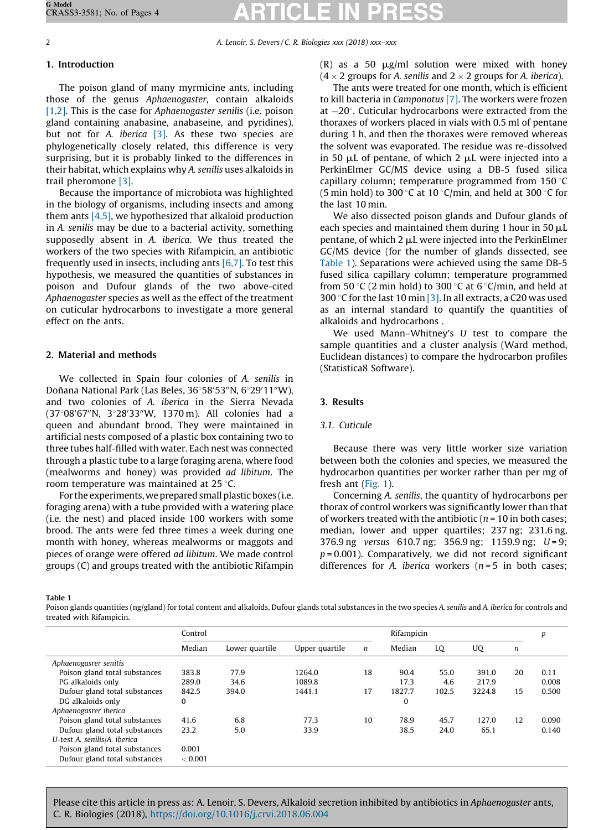<span id="page-1-0"></span>2 A. Lenoir, S. Devers / C. R. Biologies xxx (2018) xxx-xxx

# 1. Introduction

The poison gland of many myrmicine ants, including those of the genus Aphaenogaster, contain alkaloids [\[1,2\].](#page-3-0) This is the case for Aphaenogaster senilis (i.e. poison gland containing anabasine, anabaseine, and pyridines), but not for A. *iberica*  $\begin{bmatrix} 3 \end{bmatrix}$ . As these two species are phylogenetically closely related, this difference is very surprising, but it is probably linked to the differences in their habitat, which explains why A. senilis uses alkaloids in trail pheromone [\[3\]](#page-3-0).

Because the importance of microbiota was highlighted in the biology of organisms, including insects and among them ants [\[4,5\]](#page-3-0), we hypothesized that alkaloid production in A. senilis may be due to a bacterial activity, something supposedly absent in A. iberica. We thus treated the workers of the two species with Rifampicin, an antibiotic frequently used in insects, including ants  $[6,7]$ . To test this hypothesis, we measured the quantities of substances in poison and Dufour glands of the two above-cited Aphaenogaster species as well as the effect of the treatment on cuticular hydrocarbons to investigate a more general effect on the ants.

# 2. Material and methods

We collected in Spain four colonies of A. senilis in Doñana National Park (Las Beles, 36°58'53"N, 6°29'11"W), and two colonies of A. iberica in the Sierra Nevada (37°08'67"N, 3°28'33"W, 1370 m). All colonies had a queen and abundant brood. They were maintained in artificial nests composed of a plastic box containing two to three tubes half-filled with water. Each nest was connected through a plastic tube to a large foraging arena, where food (mealworms and honey) was provided ad libitum. The room temperature was maintained at  $25^{\circ}$ C.

For the experiments, we prepared small plastic boxes (i.e. foraging arena) with a tube provided with a watering place (i.e. the nest) and placed inside 100 workers with some brood. The ants were fed three times a week during one month with honey, whereas mealworms or maggots and pieces of orange were offered ad libitum. We made control groups (C) and groups treated with the antibiotic Rifampin (R) as a 50  $\mu$ g/ml solution were mixed with honey  $(4 \times 2$  groups for A. senilis and  $2 \times 2$  groups for A. iberica).

The ants were treated for one month, which is efficient to kill bacteria in Camponotus [\[7\].](#page-3-0) The workers were frozen at  $-20^\circ$ . Cuticular hydrocarbons were extracted from the thoraxes of workers placed in vials with 0.5 ml of pentane during 1 h, and then the thoraxes were removed whereas the solvent was evaporated. The residue was re-dissolved in 50  $\mu$ L of pentane, of which 2  $\mu$ L were injected into a PerkinElmer GC/MS device using a DB-5 fused silica capillary column; temperature programmed from  $150^{\circ}$ C (5 min hold) to 300 °C at 10 °C/min, and held at 300 °C for the last 10 min.

We also dissected poison glands and Dufour glands of each species and maintained them during 1 hour in 50  $\mu$ L pentane, of which  $2 \mu L$  were injected into the PerkinElmer GC/MS device (for the number of glands dissected, see Table 1). Separations were achieved using the same DB-5 fused silica capillary column; temperature programmed from 50 °C (2 min hold) to 300 °C at 6 °C/min, and held at 300 °C for the last 10 min [\[3\].](#page-3-0) In all extracts, a C20 was used as an internal standard to quantify the quantities of alkaloids and hydrocarbons .

We used Mann–Whitney's U test to compare the sample quantities and a cluster analysis (Ward method, Euclidean distances) to compare the hydrocarbon profiles (Statistica8 Software).

## 3. Results

## 3.1. Cuticule

Because there was very little worker size variation between both the colonies and species, we measured the hydrocarbon quantities per worker rather than per mg of fresh ant [\(Fig.](#page-2-0) 1).

Concerning A. senilis, the quantity of hydrocarbons per thorax of control workers was significantly lower than that of workers treated with the antibiotic ( $n = 10$  in both cases; median, lower and upper quartiles; 237 ng; 231.6 ng, 376.9 ng versus 610.7 ng; 356.9 ng; 1159.9 ng; U=9;  $p = 0.001$ ). Comparatively, we did not record significant differences for A. iberica workers  $(n = 5$  in both cases;

Table 1

Poison glands quantities (ng/gland) for total content and alkaloids, Dufour glands total substances in the two species A. senilis and A. iberica for controls and treated with Rifampicin.

|                               | Control |                |                |                  | Rifampicin |       |        |                  | p     |
|-------------------------------|---------|----------------|----------------|------------------|------------|-------|--------|------------------|-------|
|                               | Median  | Lower quartile | Upper quartile | $\boldsymbol{n}$ | Median     | LQ    | UQ     | $\boldsymbol{n}$ |       |
| Aphaenogasrer senitis         |         |                |                |                  |            |       |        |                  |       |
| Poison gland total substances | 383.8   | 77.9           | 1264.0         | 18               | 90.4       | 55.0  | 391.0  | 20               | 0.11  |
| PG alkaloids only             | 289.0   | 34.6           | 1089.8         |                  | 17.3       | 4.6   | 217.9  |                  | 0.008 |
| Dufour gland total substances | 842.5   | 394.0          | 1441.1         | 17               | 1827.7     | 102.5 | 3224.8 | 15               | 0.500 |
| DG alkaloids only             | 0       |                |                |                  | 0          |       |        |                  |       |
| Aphaenogasrer iberica         |         |                |                |                  |            |       |        |                  |       |
| Poison gland total substances | 41.6    | 6.8            | 77.3           | 10               | 78.9       | 45.7  | 127.0  | 12               | 0.090 |
| Dufour gland total substances | 23.2    | 5.0            | 33.9           |                  | 38.5       | 24.0  | 65.1   |                  | 0.140 |
| U-test A. senilis/A. iberica  |         |                |                |                  |            |       |        |                  |       |
| Poison gland total substances | 0.001   |                |                |                  |            |       |        |                  |       |
| Dufour gland total substances | < 0.001 |                |                |                  |            |       |        |                  |       |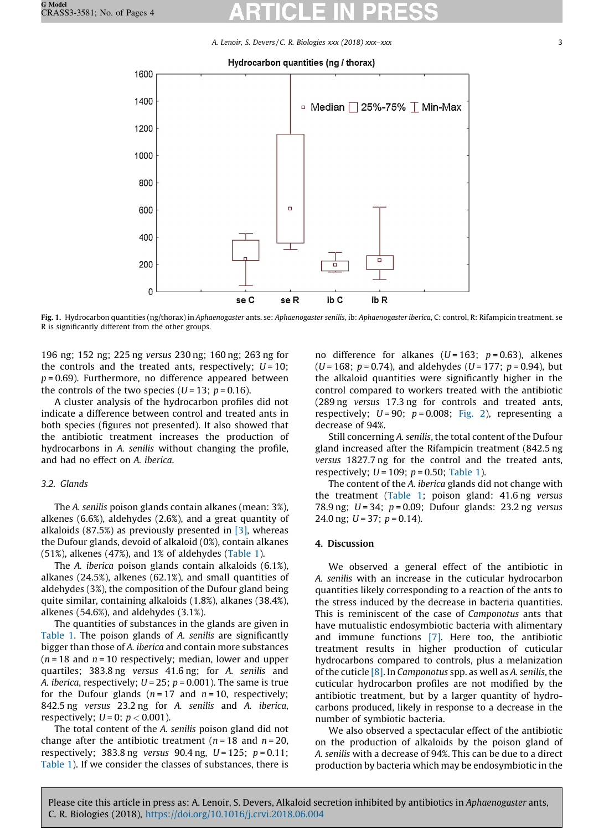A. Lenoir, S. Devers / C. R. Biologies xxx (2018) xxx–xxx 3

#### Hydrocarbon quantities (ng / thorax)

<span id="page-2-0"></span>

Fig. 1. Hydrocarbon quantities (ng/thorax) in Aphaenogaster ants. se: Aphaenogaster senilis, ib: Aphaenogaster iberica, C: control, R: Rifampicin treatment. se R is significantly different from the other groups.

196 ng; 152 ng; 225 ng versus 230 ng; 160 ng; 263 ng for the controls and the treated ants, respectively;  $U = 10$ ;  $p = 0.69$ ). Furthermore, no difference appeared between the controls of the two species ( $U = 13$ ;  $p = 0.16$ ).

A cluster analysis of the hydrocarbon profiles did not indicate a difference between control and treated ants in both species (figures not presented). It also showed that the antibiotic treatment increases the production of hydrocarbons in A. senilis without changing the profile, and had no effect on A. iberica.

## 3.2. Glands

The A. senilis poison glands contain alkanes (mean: 3%), alkenes (6.6%), aldehydes (2.6%), and a great quantity of alkaloids (87.5%) as previously presented in  $[3]$ , whereas the Dufour glands, devoid of alkaloid (0%), contain alkanes (51%), alkenes (47%), and 1% of aldehydes ([Table](#page-1-0) 1).

The A. iberica poison glands contain alkaloids (6.1%), alkanes (24.5%), alkenes (62.1%), and small quantities of aldehydes (3%), the composition of the Dufour gland being quite similar, containing alkaloids (1.8%), alkanes (38.4%), alkenes (54.6%), and aldehydes (3.1%).

The quantities of substances in the glands are given in [Table](#page-1-0) 1. The poison glands of A. senilis are significantly bigger than those of A. iberica and contain more substances  $(n = 18$  and  $n = 10$  respectively; median, lower and upper quartiles; 383.8 ng versus 41.6 ng; for A. senilis and A. *iberica*, respectively;  $U = 25$ ;  $p = 0.001$ ). The same is true for the Dufour glands ( $n = 17$  and  $n = 10$ , respectively; 842.5 ng versus 23.2 ng for A. senilis and A. iberica, respectively;  $U=0$ ;  $p < 0.001$ ).

The total content of the A. senilis poison gland did not change after the antibiotic treatment ( $n = 18$  and  $n = 20$ , respectively; 383.8 ng versus 90.4 ng,  $U = 125$ ;  $p = 0.11$ ; [Table](#page-1-0) 1). If we consider the classes of substances, there is

no difference for alkanes ( $U = 163$ ;  $p = 0.63$ ), alkenes (U = 168;  $p = 0.74$ ), and aldehydes (U = 177;  $p = 0.94$ ), but the alkaloid quantities were significantly higher in the control compared to workers treated with the antibiotic (289 ng versus 17.3 ng for controls and treated ants, respectively;  $U = 90$ ;  $p = 0.008$ ; [Fig.](#page-3-0) 2), representing a decrease of 94%.

Still concerning A. senilis, the total content of the Dufour gland increased after the Rifampicin treatment (842.5 ng versus 1827.7 ng for the control and the treated ants, respectively;  $U = 109$ ;  $p = 0.50$ ; [Table](#page-1-0) 1).

The content of the A. iberica glands did not change with the treatment ([Table](#page-1-0) 1; poison gland: 41.6 ng versus 78.9 ng;  $U = 34$ ;  $p = 0.09$ ; Dufour glands: 23.2 ng versus 24.0 ng;  $U = 37$ ;  $p = 0.14$ ).

### 4. Discussion

We observed a general effect of the antibiotic in A. senilis with an increase in the cuticular hydrocarbon quantities likely corresponding to a reaction of the ants to the stress induced by the decrease in bacteria quantities. This is reminiscent of the case of Camponotus ants that have mutualistic endosymbiotic bacteria with alimentary and immune functions [\[7\]](#page-3-0). Here too, the antibiotic treatment results in higher production of cuticular hydrocarbons compared to controls, plus a melanization of the cuticle  $[8]$ . In Camponotus spp. as well as A. senilis, the cuticular hydrocarbon profiles are not modified by the antibiotic treatment, but by a larger quantity of hydrocarbons produced, likely in response to a decrease in the number of symbiotic bacteria.

We also observed a spectacular effect of the antibiotic on the production of alkaloids by the poison gland of A. senilis with a decrease of 94%. This can be due to a direct production by bacteria which may be endosymbiotic in the